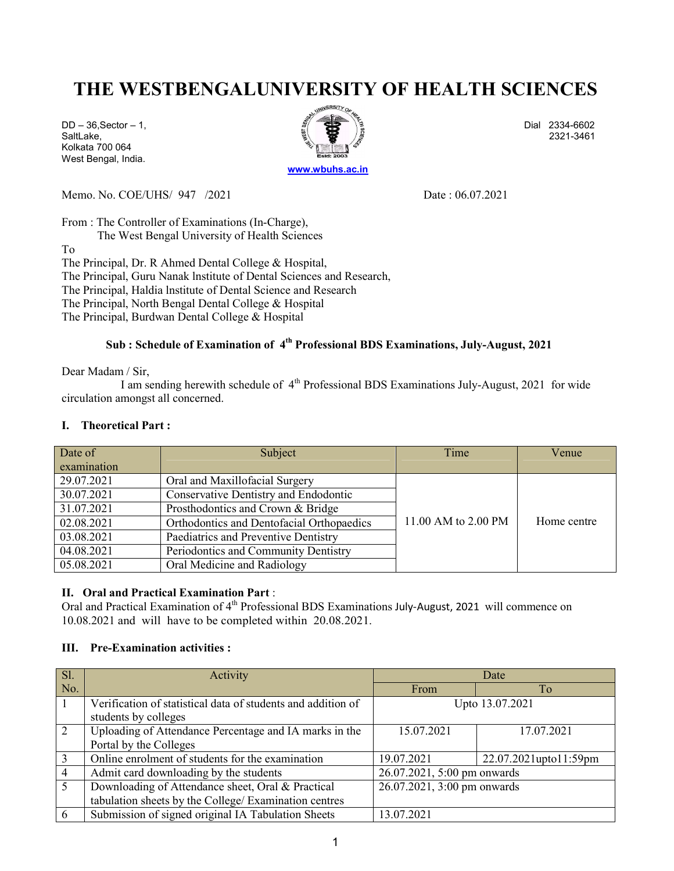# THE WESTBENGALUNIVERSITY OF HEALTH SCIENCES

Kolkata 700 064 West Bengal, India.



Memo. No. COE/UHS/ 947 /2021 Date : 06.07.2021

From : The Controller of Examinations (In-Charge), The West Bengal University of Health Sciences To The Principal, Dr. R Ahmed Dental College & Hospital, The Principal, Guru Nanak lnstitute of Dental Sciences and Research, The Principal, Haldia lnstitute of Dental Science and Research The Principal, North Bengal Dental College & Hospital The Principal, Burdwan Dental College & Hospital

## Sub : Schedule of Examination of 4<sup>th</sup> Professional BDS Examinations, July-August, 2021

Dear Madam / Sir,

I am sending herewith schedule of 4<sup>th</sup> Professional BDS Examinations July-August, 2021 for wide circulation amongst all concerned.

### I. Theoretical Part :

| Date of     | Subject                                   | Time                | Venue       |
|-------------|-------------------------------------------|---------------------|-------------|
| examination |                                           |                     |             |
| 29.07.2021  | Oral and Maxillofacial Surgery            |                     |             |
| 30.07.2021  | Conservative Dentistry and Endodontic     |                     |             |
| 31.07.2021  | Prosthodontics and Crown & Bridge         |                     |             |
| 02.08.2021  | Orthodontics and Dentofacial Orthopaedics | 11.00 AM to 2.00 PM | Home centre |
| 03.08.2021  | Paediatrics and Preventive Dentistry      |                     |             |
| 04.08.2021  | Periodontics and Community Dentistry      |                     |             |
| 05.08.2021  | Oral Medicine and Radiology               |                     |             |

### II. Oral and Practical Examination Part :

Oral and Practical Examination of 4<sup>th</sup> Professional BDS Examinations July-August, 2021 will commence on 10.08.2021 and will have to be completed within 20.08.2021.

### III. Pre-Examination activities :

| <b>Sl.</b>     | Activity                                                     | Date                        |                       |
|----------------|--------------------------------------------------------------|-----------------------------|-----------------------|
| No.            |                                                              | From                        | To                    |
|                | Verification of statistical data of students and addition of | Upto 13.07.2021             |                       |
|                | students by colleges                                         |                             |                       |
| 2              | Uploading of Attendance Percentage and IA marks in the       | 15.07.2021                  | 17.07.2021            |
|                | Portal by the Colleges                                       |                             |                       |
| 3              | Online enrolment of students for the examination             | 19.07.2021                  | 22.07.2021upto11:59pm |
| $\overline{4}$ | Admit card downloading by the students                       | 26.07.2021, 5:00 pm onwards |                       |
| 5 <sup>5</sup> | Downloading of Attendance sheet, Oral & Practical            | 26.07.2021, 3:00 pm onwards |                       |
|                | tabulation sheets by the College/ Examination centres        |                             |                       |
| 6              | Submission of signed original IA Tabulation Sheets           | 13.07.2021                  |                       |